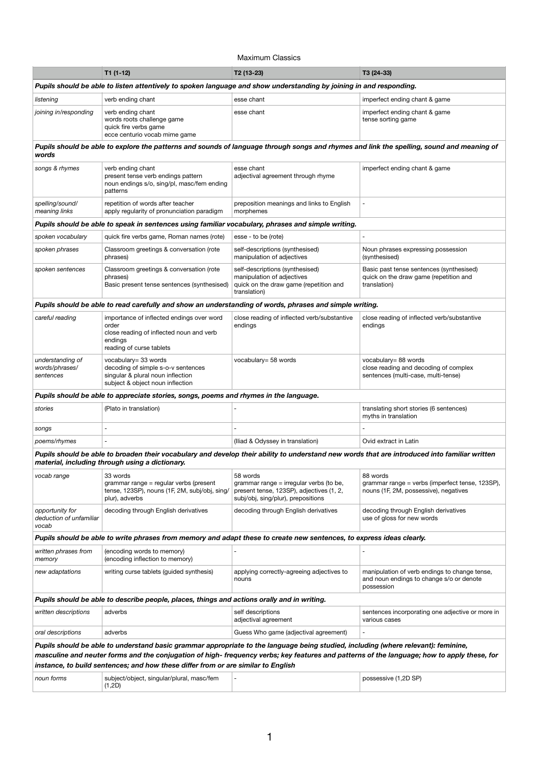### Maximum Classics

|                                                                                                                                                                                                                                  | $T1(1-12)$                                                                                                                            | T2 (13-23)                                                                                                                            | T3 (24-33)                                                                                                                                    |  |  |  |  |
|----------------------------------------------------------------------------------------------------------------------------------------------------------------------------------------------------------------------------------|---------------------------------------------------------------------------------------------------------------------------------------|---------------------------------------------------------------------------------------------------------------------------------------|-----------------------------------------------------------------------------------------------------------------------------------------------|--|--|--|--|
|                                                                                                                                                                                                                                  | Pupils should be able to listen attentively to spoken language and show understanding by joining in and responding.                   |                                                                                                                                       |                                                                                                                                               |  |  |  |  |
| listening                                                                                                                                                                                                                        | verb ending chant                                                                                                                     | esse chant                                                                                                                            | imperfect ending chant & game                                                                                                                 |  |  |  |  |
| joining in/responding                                                                                                                                                                                                            | verb ending chant<br>words roots challenge game<br>quick fire verbs game<br>ecce centurio vocab mime game                             | esse chant                                                                                                                            | imperfect ending chant & game<br>tense sorting game                                                                                           |  |  |  |  |
| Pupils should be able to explore the patterns and sounds of language through songs and rhymes and link the spelling, sound and meaning of<br>words                                                                               |                                                                                                                                       |                                                                                                                                       |                                                                                                                                               |  |  |  |  |
| songs & rhymes                                                                                                                                                                                                                   | verb ending chant<br>present tense verb endings pattern<br>noun endings s/o, sing/pl, masc/fem ending<br>patterns                     | esse chant<br>adjectival agreement through rhyme                                                                                      | imperfect ending chant & game                                                                                                                 |  |  |  |  |
| spelling/sound/<br>meaning links                                                                                                                                                                                                 | repetition of words after teacher<br>apply regularity of pronunciation paradigm                                                       | preposition meanings and links to English<br>morphemes                                                                                |                                                                                                                                               |  |  |  |  |
|                                                                                                                                                                                                                                  | Pupils should be able to speak in sentences using familiar vocabulary, phrases and simple writing.                                    |                                                                                                                                       |                                                                                                                                               |  |  |  |  |
| spoken vocabulary                                                                                                                                                                                                                | quick fire verbs game, Roman names (rote)                                                                                             | esse - to be (rote)                                                                                                                   |                                                                                                                                               |  |  |  |  |
| spoken phrases                                                                                                                                                                                                                   | Classroom greetings & conversation (rote<br>phrases)                                                                                  | self-descriptions (synthesised)<br>manipulation of adjectives                                                                         | Noun phrases expressing possession<br>(synthesised)                                                                                           |  |  |  |  |
| spoken sentences                                                                                                                                                                                                                 | Classroom greetings & conversation (rote<br>phrases)<br>Basic present tense sentences (synthesised)                                   | self-descriptions (synthesised)<br>manipulation of adjectives<br>quick on the draw game (repetition and<br>translation)               | Basic past tense sentences (synthesised)<br>quick on the draw game (repetition and<br>translation)                                            |  |  |  |  |
|                                                                                                                                                                                                                                  | Pupils should be able to read carefully and show an understanding of words, phrases and simple writing.                               |                                                                                                                                       |                                                                                                                                               |  |  |  |  |
| careful reading                                                                                                                                                                                                                  | importance of inflected endings over word<br>order<br>close reading of inflected noun and verb<br>endings<br>reading of curse tablets | close reading of inflected verb/substantive<br>endings                                                                                | close reading of inflected verb/substantive<br>endings                                                                                        |  |  |  |  |
| understanding of<br>words/phrases/<br>sentences                                                                                                                                                                                  | vocabulary= 33 words<br>decoding of simple s-o-v sentences<br>singular & plural noun inflection<br>subject & object noun inflection   | vocabulary= 58 words                                                                                                                  | vocabulary= 88 words<br>close reading and decoding of complex<br>sentences (multi-case, multi-tense)                                          |  |  |  |  |
| Pupils should be able to appreciate stories, songs, poems and rhymes in the language.                                                                                                                                            |                                                                                                                                       |                                                                                                                                       |                                                                                                                                               |  |  |  |  |
| stories                                                                                                                                                                                                                          | (Plato in translation)                                                                                                                |                                                                                                                                       | translating short stories (6 sentences)<br>myths in translation                                                                               |  |  |  |  |
| songs                                                                                                                                                                                                                            |                                                                                                                                       |                                                                                                                                       |                                                                                                                                               |  |  |  |  |
| poems/rhymes                                                                                                                                                                                                                     |                                                                                                                                       | (Iliad & Odyssey in translation)                                                                                                      | Ovid extract in Latin                                                                                                                         |  |  |  |  |
|                                                                                                                                                                                                                                  | material, including through using a dictionary.                                                                                       |                                                                                                                                       | Pupils should be able to broaden their vocabulary and develop their ability to understand new words that are introduced into familiar written |  |  |  |  |
| vocab range                                                                                                                                                                                                                      | 33 words<br>grammar range = regular verbs (present<br>tense, 123SP), nouns (1F, 2M, subj/obj, sing/<br>plur), adverbs                 | 58 words<br>grammar range = irregular verbs (to be,<br>present tense, 123SP), adjectives (1, 2,<br>subj/obj, sing/plur), prepositions | 88 words<br>grammar range = verbs (imperfect tense, 123SP),<br>nouns (1F, 2M, possessive), negatives                                          |  |  |  |  |
| opportunity for<br>deduction of unfamiliar<br>vocab                                                                                                                                                                              | decoding through English derivatives                                                                                                  | decoding through English derivatives                                                                                                  | decoding through English derivatives<br>use of gloss for new words                                                                            |  |  |  |  |
|                                                                                                                                                                                                                                  | Pupils should be able to write phrases from memory and adapt these to create new sentences, to express ideas clearly.                 |                                                                                                                                       |                                                                                                                                               |  |  |  |  |
| written phrases from<br>memory                                                                                                                                                                                                   | (encoding words to memory)<br>(encoding inflection to memory)                                                                         |                                                                                                                                       |                                                                                                                                               |  |  |  |  |
| new adaptations                                                                                                                                                                                                                  | writing curse tablets (guided synthesis)                                                                                              | applying correctly-agreeing adjectives to<br>nouns                                                                                    | manipulation of verb endings to change tense,<br>and noun endings to change s/o or denote<br>possession                                       |  |  |  |  |
|                                                                                                                                                                                                                                  | Pupils should be able to describe people, places, things and actions orally and in writing.                                           |                                                                                                                                       |                                                                                                                                               |  |  |  |  |
| written descriptions                                                                                                                                                                                                             | adverbs                                                                                                                               | self descriptions<br>adjectival agreement                                                                                             | sentences incorporating one adjective or more in<br>various cases                                                                             |  |  |  |  |
| oral descriptions                                                                                                                                                                                                                | adverbs                                                                                                                               | Guess Who game (adjectival agreement)                                                                                                 |                                                                                                                                               |  |  |  |  |
|                                                                                                                                                                                                                                  | Pupils should be able to understand basic grammar appropriate to the language being studied, including (where relevant): feminine,    |                                                                                                                                       |                                                                                                                                               |  |  |  |  |
| masculine and neuter forms and the conjugation of high- frequency verbs; key features and patterns of the language; how to apply these, for<br>instance, to build sentences; and how these differ from or are similar to English |                                                                                                                                       |                                                                                                                                       |                                                                                                                                               |  |  |  |  |
| noun forms                                                                                                                                                                                                                       | subject/object, singular/plural, masc/fem<br>(1,2D)                                                                                   |                                                                                                                                       | possessive (1,2D SP)                                                                                                                          |  |  |  |  |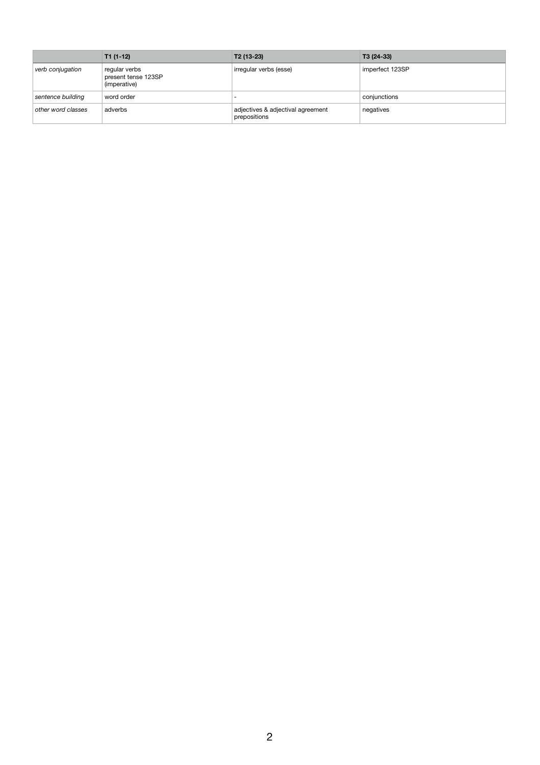|                    | $T1(1-12)$                                           | $T2(13-23)$                                       | T3 (24-33)      |
|--------------------|------------------------------------------------------|---------------------------------------------------|-----------------|
| verb conjugation   | regular verbs<br>present tense 123SP<br>(imperative) | irregular verbs (esse)                            | imperfect 123SP |
| sentence building  | word order                                           |                                                   | conjunctions    |
| other word classes | adverbs                                              | adjectives & adjectival agreement<br>prepositions | negatives       |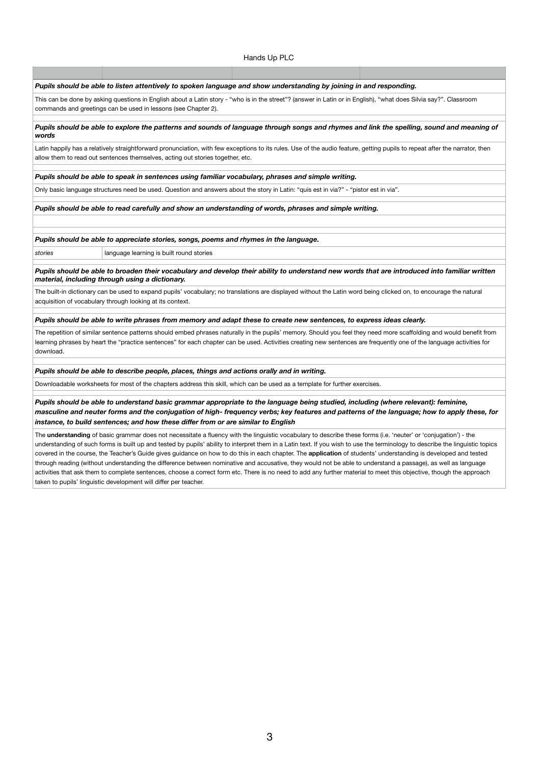#### Hands Up PLC

*Pupils should be able to listen attentively to spoken language and show understanding by joining in and responding.*

This can be done by asking questions in English about a Latin story - "who is in the street"? (answer in Latin or in English), "what does Silvia say?". Classroom commands and greetings can be used in lessons (see Chapter 2).

#### *Pupils should be able to explore the patterns and sounds of language through songs and rhymes and link the spelling, sound and meaning of words*

Latin happily has a relatively straightforward pronunciation, with few exceptions to its rules. Use of the audio feature, getting pupils to repeat after the narrator, then allow them to read out sentences themselves, acting out stories together, etc.

*Pupils should be able to speak in sentences using familiar vocabulary, phrases and simple writing.*

Only basic language structures need be used. Question and answers about the story in Latin: "quis est in via?" - "pistor est in via".

*Pupils should be able to read carefully and show an understanding of words, phrases and simple writing.*

*Pupils should be able to appreciate stories, songs, poems and rhymes in the language.*

stories **language learning is built round stories** 

*Pupils should be able to broaden their vocabulary and develop their ability to understand new words that are introduced into familiar written material, including through using a dictionary.*

The built-in dictionary can be used to expand pupils' vocabulary; no translations are displayed without the Latin word being clicked on, to encourage the natural acquisition of vocabulary through looking at its context.

*Pupils should be able to write phrases from memory and adapt these to create new sentences, to express ideas clearly.*

The repetition of similar sentence patterns should embed phrases naturally in the pupils' memory. Should you feel they need more scaffolding and would benefit from learning phrases by heart the "practice sentences" for each chapter can be used. Activities creating new sentences are frequently one of the language activities for download.

*Pupils should be able to describe people, places, things and actions orally and in writing.*

Downloadable worksheets for most of the chapters address this skill, which can be used as a template for further exercises.

*Pupils should be able to understand basic grammar appropriate to the language being studied, including (where relevant): feminine, masculine and neuter forms and the conjugation of high- frequency verbs; key features and patterns of the language; how to apply these, for instance, to build sentences; and how these differ from or are similar to English* 

The **understanding** of basic grammar does not necessitate a fluency with the linguistic vocabulary to describe these forms (i.e. 'neuter' or 'conjugation') - the understanding of such forms is built up and tested by pupils' ability to interpret them in a Latin text. If you wish to use the terminology to describe the linguistic topics covered in the course, the Teacher's Guide gives guidance on how to do this in each chapter. The **application** of students' understanding is developed and tested through reading (without understanding the difference between nominative and accusative, they would not be able to understand a passage), as well as language activities that ask them to complete sentences, choose a correct form etc. There is no need to add any further material to meet this objective, though the approach taken to pupils' linguistic development will differ per teacher.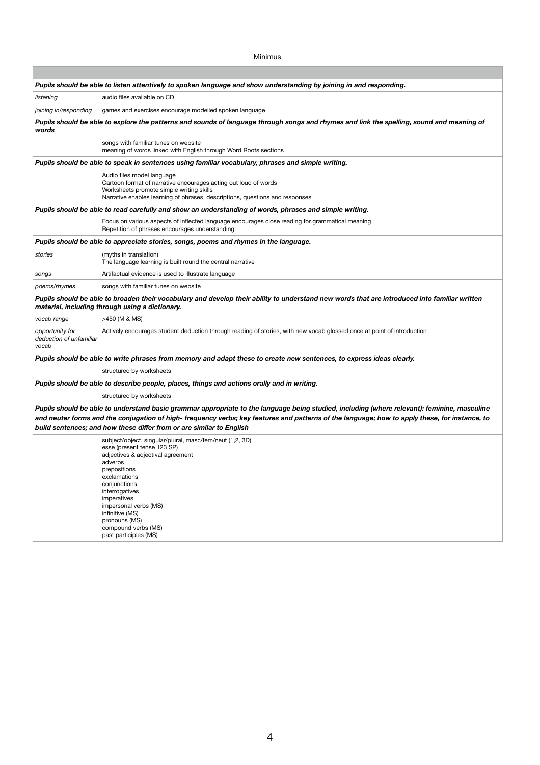Minimus

|                                                                                                                                                                                                  | Pupils should be able to listen attentively to spoken language and show understanding by joining in and responding.                                                                                                                                                                                                                                                    |  |  |  |  |  |
|--------------------------------------------------------------------------------------------------------------------------------------------------------------------------------------------------|------------------------------------------------------------------------------------------------------------------------------------------------------------------------------------------------------------------------------------------------------------------------------------------------------------------------------------------------------------------------|--|--|--|--|--|
| listening                                                                                                                                                                                        | audio files available on CD                                                                                                                                                                                                                                                                                                                                            |  |  |  |  |  |
| joining in/responding                                                                                                                                                                            | games and exercises encourage modelled spoken language                                                                                                                                                                                                                                                                                                                 |  |  |  |  |  |
| Pupils should be able to explore the patterns and sounds of language through songs and rhymes and link the spelling, sound and meaning of<br>words                                               |                                                                                                                                                                                                                                                                                                                                                                        |  |  |  |  |  |
|                                                                                                                                                                                                  | songs with familiar tunes on website<br>meaning of words linked with English through Word Roots sections                                                                                                                                                                                                                                                               |  |  |  |  |  |
|                                                                                                                                                                                                  | Pupils should be able to speak in sentences using familiar vocabulary, phrases and simple writing.                                                                                                                                                                                                                                                                     |  |  |  |  |  |
|                                                                                                                                                                                                  | Audio files model language<br>Cartoon format of narrative encourages acting out loud of words<br>Worksheets promote simple writing skills<br>Narrative enables learning of phrases, descriptions, questions and responses                                                                                                                                              |  |  |  |  |  |
|                                                                                                                                                                                                  | Pupils should be able to read carefully and show an understanding of words, phrases and simple writing.                                                                                                                                                                                                                                                                |  |  |  |  |  |
|                                                                                                                                                                                                  | Focus on various aspects of inflected language encourages close reading for grammatical meaning<br>Repetition of phrases encourages understanding                                                                                                                                                                                                                      |  |  |  |  |  |
| Pupils should be able to appreciate stories, songs, poems and rhymes in the language.                                                                                                            |                                                                                                                                                                                                                                                                                                                                                                        |  |  |  |  |  |
| stories                                                                                                                                                                                          | (myths in translation)<br>The language learning is built round the central narrative                                                                                                                                                                                                                                                                                   |  |  |  |  |  |
| songs                                                                                                                                                                                            | Artifactual evidence is used to illustrate language                                                                                                                                                                                                                                                                                                                    |  |  |  |  |  |
| poems/rhymes                                                                                                                                                                                     | songs with familiar tunes on website                                                                                                                                                                                                                                                                                                                                   |  |  |  |  |  |
| Pupils should be able to broaden their vocabulary and develop their ability to understand new words that are introduced into familiar written<br>material, including through using a dictionary. |                                                                                                                                                                                                                                                                                                                                                                        |  |  |  |  |  |
| vocab range                                                                                                                                                                                      | >450 (M & MS)                                                                                                                                                                                                                                                                                                                                                          |  |  |  |  |  |
| opportunity for<br>deduction of unfamiliar<br>vocab                                                                                                                                              | Actively encourages student deduction through reading of stories, with new vocab glossed once at point of introduction                                                                                                                                                                                                                                                 |  |  |  |  |  |
|                                                                                                                                                                                                  | Pupils should be able to write phrases from memory and adapt these to create new sentences, to express ideas clearly.                                                                                                                                                                                                                                                  |  |  |  |  |  |
|                                                                                                                                                                                                  | structured by worksheets                                                                                                                                                                                                                                                                                                                                               |  |  |  |  |  |
|                                                                                                                                                                                                  | Pupils should be able to describe people, places, things and actions orally and in writing.                                                                                                                                                                                                                                                                            |  |  |  |  |  |
|                                                                                                                                                                                                  | structured by worksheets                                                                                                                                                                                                                                                                                                                                               |  |  |  |  |  |
|                                                                                                                                                                                                  | Pupils should be able to understand basic grammar appropriate to the language being studied, including (where relevant): feminine, masculine<br>and neuter forms and the conjugation of high- frequency verbs; key features and patterns of the language; how to apply these, for instance, to<br>build sentences; and how these differ from or are similar to English |  |  |  |  |  |
|                                                                                                                                                                                                  | subject/object, singular/plural, masc/fem/neut (1,2, 3D)<br>esse (present tense 123 SP)<br>adjectives & adjectival agreement<br>adverbs<br>prepositions<br>exclamations<br>conjunctions<br>interrogatives<br>imperatives<br>impersonal verbs (MS)<br>infinitive (MS)<br>pronouns (MS)<br>compound verbs (MS)<br>past participles (MS)                                  |  |  |  |  |  |